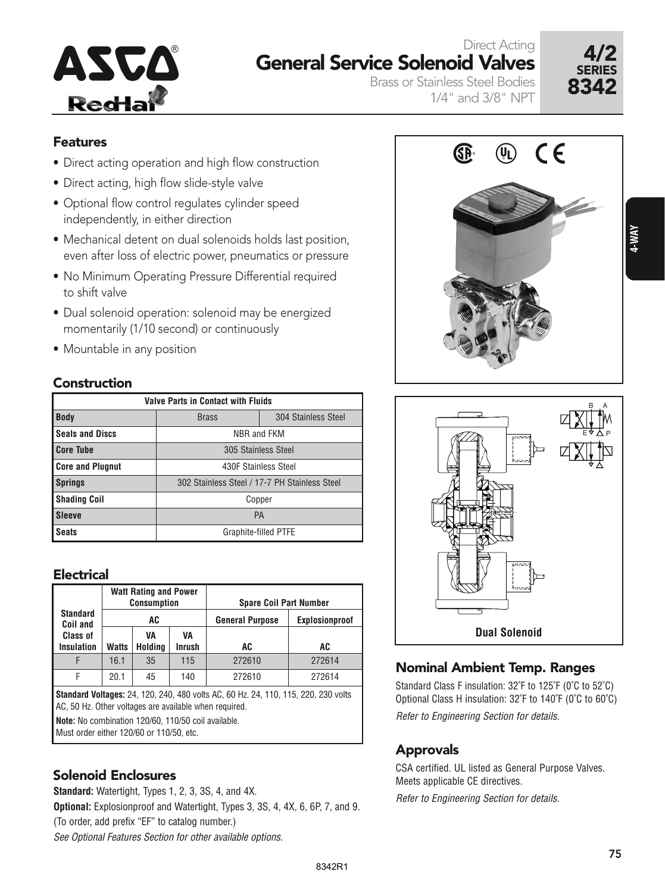

# Direct Acting General Service Solenoid Valves



Brass or Stainless Steel Bodies 1/4" and 3/8" NPT

- 
- Direct acting, high flow slide-style valve
- Optional flow control regulates cylinder speed independently, in either direction
- Mechanical detent on dual solenoids holds last position, even after loss of electric power, pneumatics or pressure
- No Minimum Operating Pressure Differential required to shift valve
- Dual solenoid operation: solenoid may be energized momentarily (1/10 second) or continuously
- Mountable in any position

#### Construction

| <b>Valve Parts in Contact with Fluids</b> |                                               |                     |  |  |  |  |  |  |
|-------------------------------------------|-----------------------------------------------|---------------------|--|--|--|--|--|--|
| <b>Body</b>                               | <b>Brass</b>                                  | 304 Stainless Steel |  |  |  |  |  |  |
| <b>Seals and Discs</b>                    | NBR and FKM                                   |                     |  |  |  |  |  |  |
| <b>Core Tube</b>                          | 305 Stainless Steel                           |                     |  |  |  |  |  |  |
| <b>Core and Plugnut</b>                   | 430F Stainless Steel                          |                     |  |  |  |  |  |  |
| <b>Springs</b>                            | 302 Stainless Steel / 17-7 PH Stainless Steel |                     |  |  |  |  |  |  |
| <b>Shading Coil</b>                       | Copper                                        |                     |  |  |  |  |  |  |
| <b>Sleeve</b>                             | <b>PA</b>                                     |                     |  |  |  |  |  |  |
| <b>Seats</b>                              | Graphite-filled PTFE                          |                     |  |  |  |  |  |  |

#### **Electrical**

|                                                                                                                                                                                        |                                       | <b>Watt Rating and Power</b><br><b>Consumption</b> |                     | <b>Spare Coil Part Number</b> |                |  |  |  |  |
|----------------------------------------------------------------------------------------------------------------------------------------------------------------------------------------|---------------------------------------|----------------------------------------------------|---------------------|-------------------------------|----------------|--|--|--|--|
| <b>Standard</b><br>Coil and                                                                                                                                                            |                                       | AC                                                 |                     | <b>General Purpose</b>        | Explosionproof |  |  |  |  |
| Class of<br><b>Insulation</b>                                                                                                                                                          | <b>Watts</b>                          | VA<br>Holding                                      | VA<br><b>Inrush</b> | AC                            | AC             |  |  |  |  |
| F                                                                                                                                                                                      | 16.1                                  | 35                                                 | 115                 | 272610                        | 272614         |  |  |  |  |
| F                                                                                                                                                                                      | 272610<br>272614<br>20.1<br>45<br>140 |                                                    |                     |                               |                |  |  |  |  |
| <b>Standard Voltages:</b> 24, 120, 240, 480 volts AC, 60 Hz, 24, 110, 115, 220, 230 volts<br>AC, 50 Hz. Other voltages are available when required.                                    |                                       |                                                    |                     |                               |                |  |  |  |  |
| Note: No combination 120/60, 110/50 coil available.<br>$\mathbf{A}$ and the state of $\mathbf{A}$ and $\mathbf{A}$ and $\mathbf{A}$ and $\mathbf{A}$ and $\mathbf{A}$ and $\mathbf{A}$ |                                       |                                                    |                     |                               |                |  |  |  |  |

Must order either 120/60 or 110/50, etc.

### Solenoid Enclosures

Refer to Engineering Section for details. **Standard:** Watertight, Types 1, 2, 3, 3S, 4, and 4X. **Optional:** Explosionproof and Watertight, Types 3, 3S, 4, 4X, 6, 6P, 7, and 9. (To order, add prefix "EF" to catalog number.) See Optional Features Section for other available options.





### Nominal Ambient Temp. Ranges

Standard Class F insulation: 32˚F to 125˚F (0˚C to 52˚C) Optional Class H insulation: 32˚F to 140˚F (0˚C to 60˚C) Refer to Engineering Section for details.

### **Approvals**

CSA certified. UL listed as General Purpose Valves. Meets applicable CE directives.